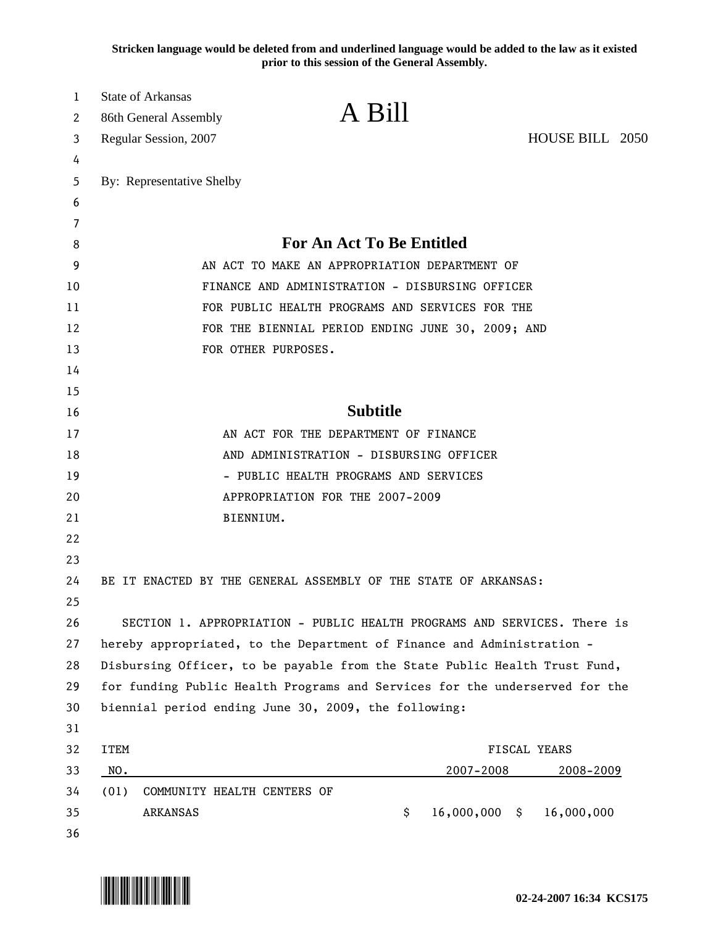**Stricken language would be deleted from and underlined language would be added to the law as it existed prior to this session of the General Assembly.**

| 1      | <b>State of Arkansas</b>                        | A Bill                                                                      |                 |  |  |  |  |  |
|--------|-------------------------------------------------|-----------------------------------------------------------------------------|-----------------|--|--|--|--|--|
| 2      | 86th General Assembly                           |                                                                             |                 |  |  |  |  |  |
| 3      | Regular Session, 2007                           |                                                                             | HOUSE BILL 2050 |  |  |  |  |  |
| 4      |                                                 |                                                                             |                 |  |  |  |  |  |
| 5      | By: Representative Shelby                       |                                                                             |                 |  |  |  |  |  |
| 6      |                                                 |                                                                             |                 |  |  |  |  |  |
| 7<br>8 |                                                 | <b>For An Act To Be Entitled</b>                                            |                 |  |  |  |  |  |
| 9      | AN ACT TO MAKE AN APPROPRIATION DEPARTMENT OF   |                                                                             |                 |  |  |  |  |  |
| 10     | FINANCE AND ADMINISTRATION - DISBURSING OFFICER |                                                                             |                 |  |  |  |  |  |
| 11     |                                                 | FOR PUBLIC HEALTH PROGRAMS AND SERVICES FOR THE                             |                 |  |  |  |  |  |
| 12     |                                                 | FOR THE BIENNIAL PERIOD ENDING JUNE 30, 2009; AND                           |                 |  |  |  |  |  |
| 13     |                                                 | FOR OTHER PURPOSES.                                                         |                 |  |  |  |  |  |
| 14     |                                                 |                                                                             |                 |  |  |  |  |  |
| 15     |                                                 |                                                                             |                 |  |  |  |  |  |
| 16     | <b>Subtitle</b>                                 |                                                                             |                 |  |  |  |  |  |
| 17     |                                                 | AN ACT FOR THE DEPARTMENT OF FINANCE                                        |                 |  |  |  |  |  |
| 18     | AND ADMINISTRATION - DISBURSING OFFICER         |                                                                             |                 |  |  |  |  |  |
| 19     | - PUBLIC HEALTH PROGRAMS AND SERVICES           |                                                                             |                 |  |  |  |  |  |
| 20     | APPROPRIATION FOR THE 2007-2009                 |                                                                             |                 |  |  |  |  |  |
| 21     |                                                 | BIENNIUM.                                                                   |                 |  |  |  |  |  |
| 22     |                                                 |                                                                             |                 |  |  |  |  |  |
| 23     |                                                 |                                                                             |                 |  |  |  |  |  |
| 24     |                                                 | BE IT ENACTED BY THE GENERAL ASSEMBLY OF THE STATE OF ARKANSAS:             |                 |  |  |  |  |  |
| 25     |                                                 |                                                                             |                 |  |  |  |  |  |
| 26     |                                                 | SECTION 1. APPROPRIATION - PUBLIC HEALTH PROGRAMS AND SERVICES. There is    |                 |  |  |  |  |  |
| 27     |                                                 | hereby appropriated, to the Department of Finance and Administration -      |                 |  |  |  |  |  |
| 28     |                                                 | Disbursing Officer, to be payable from the State Public Health Trust Fund,  |                 |  |  |  |  |  |
| 29     |                                                 | for funding Public Health Programs and Services for the underserved for the |                 |  |  |  |  |  |
| 30     |                                                 | biennial period ending June 30, 2009, the following:                        |                 |  |  |  |  |  |
| 31     |                                                 |                                                                             |                 |  |  |  |  |  |
| 32     | <b>ITEM</b>                                     |                                                                             | FISCAL YEARS    |  |  |  |  |  |
| 33     | NO.                                             | 2007-2008                                                                   | 2008-2009       |  |  |  |  |  |
| 34     | (01)<br>COMMUNITY HEALTH CENTERS OF             |                                                                             |                 |  |  |  |  |  |
| 35     | ARKANSAS                                        | $16,000,000$ \$<br>\$                                                       | 16,000,000      |  |  |  |  |  |
| 36     |                                                 |                                                                             |                 |  |  |  |  |  |